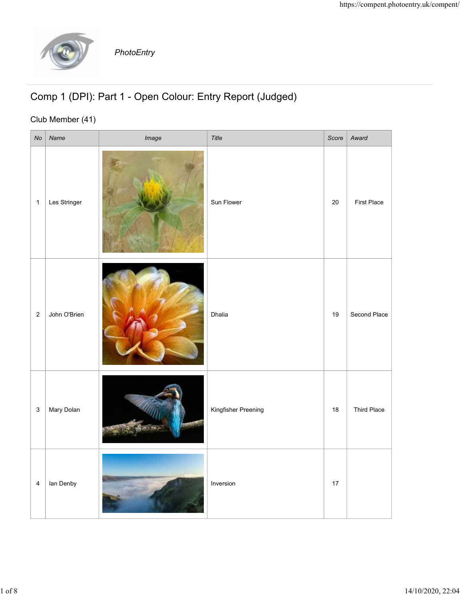

## Comp 1 (DPI): Part 1 - Open Colour: Entry Report (Judged)

## Club Member (41)

|                                                                               |              |            |                     |        | https://compent.photoentry.uk/compent/ |
|-------------------------------------------------------------------------------|--------------|------------|---------------------|--------|----------------------------------------|
|                                                                               |              | PhotoEntry |                     |        |                                        |
| Comp 1 (DPI): Part 1 - Open Colour: Entry Report (Judged)<br>Club Member (41) |              |            |                     |        |                                        |
| No                                                                            | Name         | Image      | Title               | Score  | Award                                  |
| $\mathbf{1}$                                                                  | Les Stringer |            | Sun Flower          | $20\,$ | First Place                            |
| $2 \mid$                                                                      | John O'Brien |            | Dhalia              | 19     | Second Place                           |
| 3 <sup>1</sup>                                                                | Mary Dolan   |            | Kingfisher Preening | 18     | Third Place                            |
| $\overline{4}$                                                                | lan Denby    |            | Inversion           | 17     |                                        |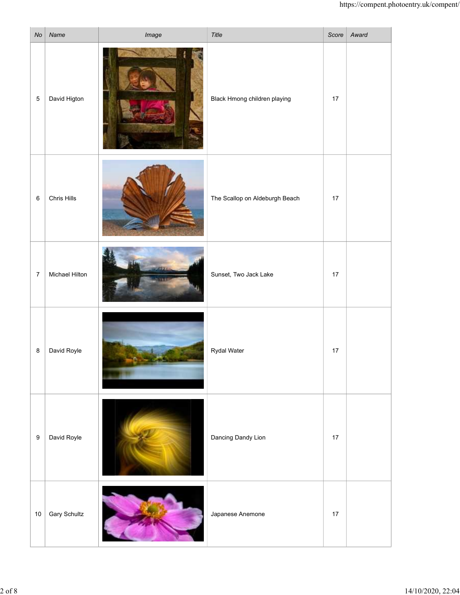|                  |                  |       |                                |      | https://compent.photoentry.uk/compent/ |
|------------------|------------------|-------|--------------------------------|------|----------------------------------------|
|                  | $No$ Name        | Image | Title                          |      | Score   Award                          |
| $\overline{5}$   | David Higton     | ъ.    | Black Hmong children playing   | 17   |                                        |
| $\,6\,$          | Chris Hills      |       | The Scallop on Aldeburgh Beach | $17$ |                                        |
| $\boldsymbol{7}$ | Michael Hilton   |       | Sunset, Two Jack Lake          | 17   |                                        |
| $\bf8$           | David Royle<br>۰ |       | Rydal Water                    | $17$ |                                        |
| $\boldsymbol{9}$ | David Royle      |       | Dancing Dandy Lion             | $17$ |                                        |
|                  | 10 Gary Schultz  | >15   | Japanese Anemone               | 17   |                                        |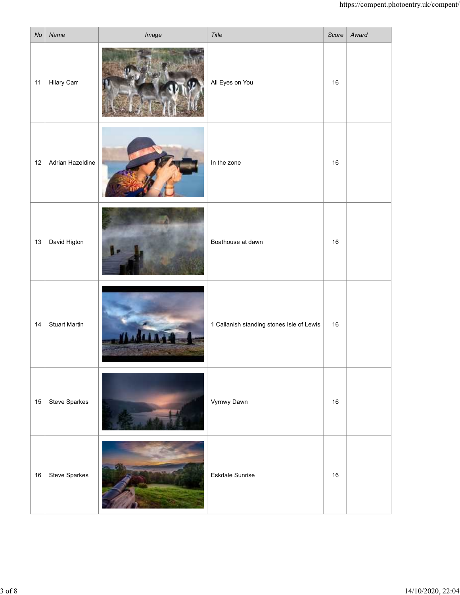|    |                      |       |                                           |    | https://compent.photoentry.uk/compent/ |
|----|----------------------|-------|-------------------------------------------|----|----------------------------------------|
| No | Name                 | Image | Title                                     |    | Score   Award                          |
|    | 11   Hilary Carr     |       | All Eyes on You                           | 16 |                                        |
| 12 | Adrian Hazeldine     |       | In the zone                               | 16 |                                        |
| 13 | David Higton         |       | Boathouse at dawn                         | 16 |                                        |
| 14 | <b>Stuart Martin</b> |       | 1 Callanish standing stones Isle of Lewis | 16 |                                        |
| 15 | Steve Sparkes        |       | Vyrnwy Dawn                               | 16 |                                        |
| 16 | Steve Sparkes        |       | Eskdale Sunrise                           | 16 |                                        |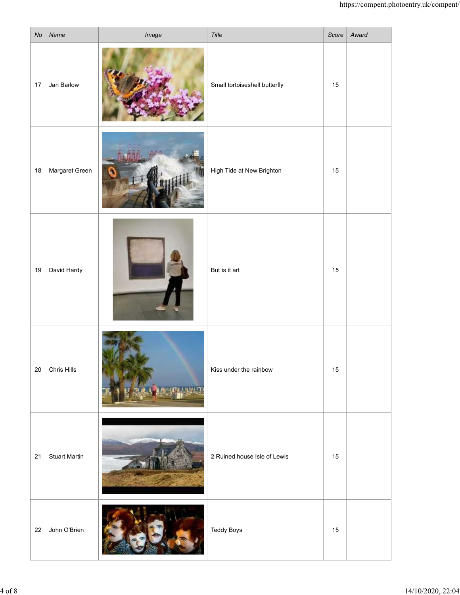|    |                      |                          |                               |        | https://compent.photoentry.uk/compent/ |
|----|----------------------|--------------------------|-------------------------------|--------|----------------------------------------|
|    | $No$ Name            | Image                    | Title                         |        | Score   Award                          |
| 17 | Jan Barlow           |                          | Small tortoiseshell butterfly | $15\,$ |                                        |
| 18 | Margaret Green       |                          | High Tide at New Brighton     | 15     |                                        |
|    | 19 David Hardy       |                          | But is it art                 | $15\,$ |                                        |
| 20 | Chris Hills          |                          | Kiss under the rainbow        | $15\,$ |                                        |
| 21 | <b>Stuart Martin</b> |                          | 2 Ruined house Isle of Lewis  | 15     |                                        |
| 22 | John O'Brien         | $\overline{\phantom{a}}$ | <b>Teddy Boys</b>             | $15\,$ |                                        |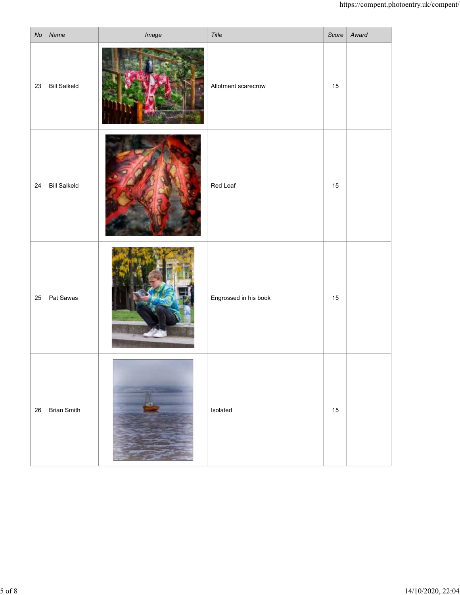|    |                     |       |                       |    | https://compent.photoentry.uk/compent/ |
|----|---------------------|-------|-----------------------|----|----------------------------------------|
|    | $No$ Name           | Image | Title                 |    | Score   Award                          |
|    | $23$ Bill Salkeld   |       | Allotment scarecrow   | 15 |                                        |
| 24 | <b>Bill Salkeld</b> |       | Red Leaf              | 15 |                                        |
|    | 25   Pat Sawas      |       | Engrossed in his book | 15 |                                        |
|    | 26   Brian Smith    |       | Isolated              | 15 |                                        |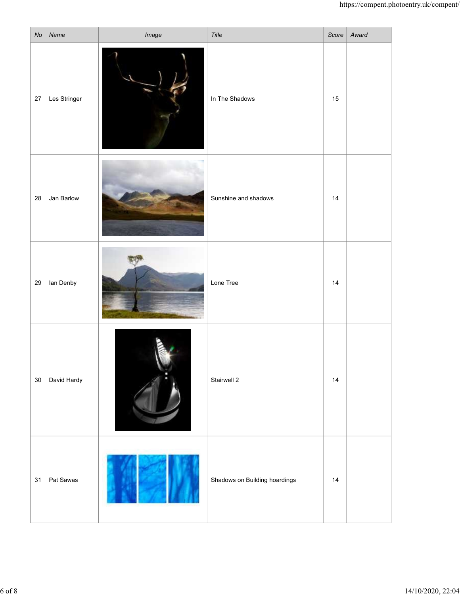| No | Name         | Image | Title                         |    | https://compent.photoentry.uk/compent/<br>Score Award |
|----|--------------|-------|-------------------------------|----|-------------------------------------------------------|
| 27 | Les Stringer |       | In The Shadows                | 15 |                                                       |
| 28 | Jan Barlow   |       | Sunshine and shadows          | 14 |                                                       |
| 29 | lan Denby    |       | Lone Tree                     | 14 |                                                       |
| 30 | David Hardy  |       | Stairwell 2                   | 14 |                                                       |
| 31 | Pat Sawas    |       | Shadows on Building hoardings | 14 |                                                       |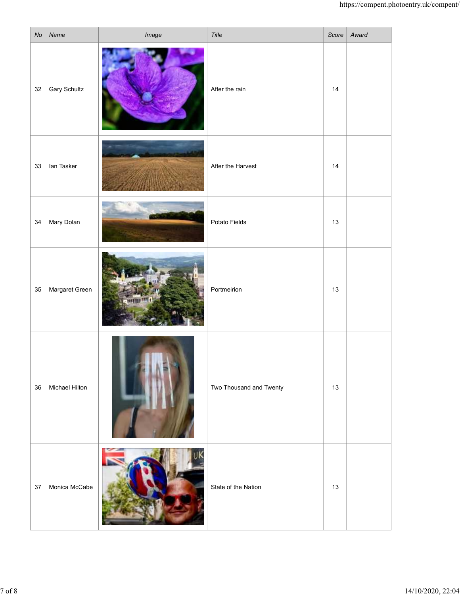|    |                     |                       |                         |    | https://compent.photoentry.uk/compent/ |
|----|---------------------|-----------------------|-------------------------|----|----------------------------------------|
| No | Name                | Image                 | Title                   |    | Score Award                            |
| 32 | <b>Gary Schultz</b> |                       | After the rain          | 14 |                                        |
| 33 | lan Tasker          |                       | After the Harvest       | 14 |                                        |
| 34 | Mary Dolan          |                       | Potato Fields           | 13 |                                        |
| 35 | Margaret Green      |                       | Portmeirion             | 13 |                                        |
| 36 | Michael Hilton      |                       | Two Thousand and Twenty | 13 |                                        |
| 37 | Monica McCabe       | <b>CALLES AT 1999</b> | State of the Nation     | 13 |                                        |